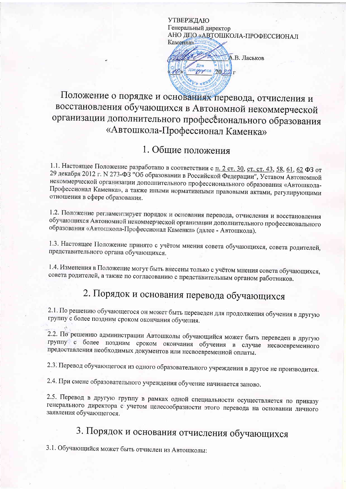**УТВЕРЖДАЮ** Генеральный директор АНО ДПО «АВТОШКОЛА-ПРОФЕССИОНАЛ Каменка»

А.В. Ласьков Для ADKyggyrios 2022 r

#### Положение о порядке и основаниях перевода, отчисления и восстановления обучающихся в Автономной некоммерческой организации дополнительного профессионального образования «Автошкола-Профессионал Каменка»

#### 1. Общие положения

1.1. Настоящее Положение разработано в соответствии с п. 2 ст. 30, ст. ст. 43, 58, 61, 62 ФЗ от 29 декабря 2012 г. № 273-ФЗ "Об образовании в Российской Федерации", Уставом Автономной некоммерческой организации дополнительного профессионального образования «Автошкола-Профессионал Каменка», а также иными нормативными правовыми актами, регулирующими отношения в сфере образования.

1.2. Положение регламентирует порядок и основания перевода, отчисления и восстановления обучающихся Автономной некоммерческой организации дополнительного профессионального образования «Автошкола-Профессионал Каменка» (далее - Автошкола).

1.3. Настоящее Положение принято с учётом мнения совета обучающихся, совета родителей, представительного органа обучающихся.

1.4. Изменения в Положение могут быть внесены только с учётом мнения совета обучающихся, совета родителей, а также по согласованию с представительным органом работников.

## 2. Порядок и основания перевода обучающихся

2.1. По решению обучающегося он может быть переведен для продолжения обучения в другую группу с более поздним сроком окончания обучения.

2.2. По решению администрации Автошколы обучающийся может быть переведен в другую группу с более поздним сроком окончания обучения в случае несвоевременного предоставления необходимых документов или несвоевременной оплаты.

2.3. Перевод обучающегося из одного образовательного учреждения в другое не производится.

2.4. При смене образовательного учреждения обучение начинается заново.

2.5. Перевод в другую группу в рамках одной специальности осуществляется по приказу генерального директора с учетом целесообразности этого перевода на основании личного заявления обучающегося.

# 3. Порядок и основания отчисления обучающихся

3.1. Обучающийся может быть отчислен из Автошколы: